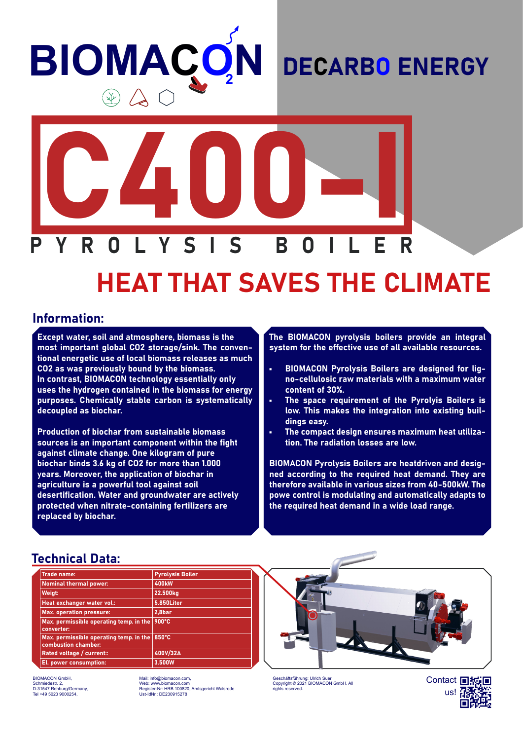## **BIOMACO N**  $\circledast \mathbb{A} \subset$

## DECARBO ENERGY



# HEAT THAT SAVES THE CLIMATE

#### Information:

Except water, soil and atmosphere, biomass is the most important global CO2 storage/sink. The conventional energetic use of local biomass releases as much CO2 as was previously bound by the biomass. In contrast, BIOMACON technology essentially only uses the hydrogen contained in the biomass for energy purposes. Chemically stable carbon is systematically decoupled as biochar.

Production of biochar from sustainable biomass sources is an important component within the fight against climate change. One kilogram of pure biochar binds 3.6 kg of CO2 for more than 1.000 years. Moreover, the application of biochar in agriculture is a powerful tool against soil desertification. Water and groundwater are actively protected when nitrate-containing fertilizers are replaced by biochar.

The BIOMACON pyrolysis boilers provide an integral system for the effective use of all available resources.

- BIOMACON Pyrolysis Boilers are designed for ligno-cellulosic raw materials with a maximum water content of 30%.
- The space requirement of the Pyrolyis Boilers is low. This makes the integration into existing buildings easy.
- The compact design ensures maximum heat utilization. The radiation losses are low.

BIOMACON Pyrolysis Boilers are heatdriven and designed according to the required heat demand. They are therefore available in various sizes from 40-500kW. The powe control is modulating and automatically adapts to the required heat demand in a wide load range.

#### Technical Data:

| <b>Trade name:</b>                                             |  | <b>Pyrolysis Boiler</b> |  |
|----------------------------------------------------------------|--|-------------------------|--|
| <b>Nominal thermal power:</b>                                  |  | <b>400kW</b>            |  |
| Weigt:                                                         |  | 22.500kg                |  |
| Heat exchanger water vol.:                                     |  | 5.850Liter              |  |
| <b>Max. operation pressure:</b>                                |  | 2,8bar                  |  |
| Max. permissible operating temp. in the<br>converter:          |  | 900°C                   |  |
| Max. permissible operating temp. in the<br>combustion chamber: |  | 850°C                   |  |
| Rated voltage / current::                                      |  | 400V/32A                |  |
| El. power consumption:                                         |  | 3.500W                  |  |

BIOMACON GmbH, Schmiedestr. 2, D-31547 Rehburg/Germany, Tel +49 5023 9000254,

Mail: info@biomacon.com, Web: www.biomacon.com Register-Nr: HRB 100820, Amtsgericht Walsrode Ust-IdNr.: DE230915278



Geschäftsführung: Ulrich Suer Copyright © 2021 BIOMACON GmbH. All rights reserved.

Contact 回报画 us!